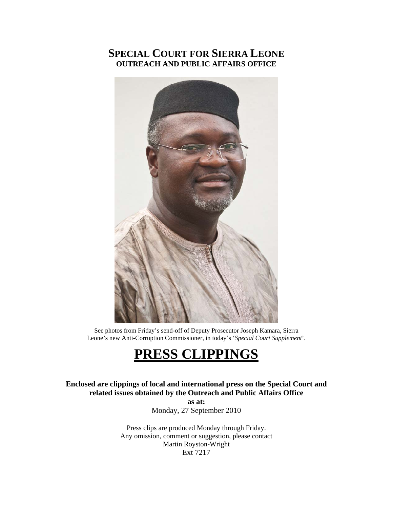# **SPECIAL COURT FOR SIERRA LEONE OUTREACH AND PUBLIC AFFAIRS OFFICE**



See photos from Friday's send-off of Deputy Prosecutor Joseph Kamara, Sierra Leone's new Anti-Corruption Commissioner, in today's '*Special Court Supplement*'.

# **PRESS CLIPPINGS**

**Enclosed are clippings of local and international press on the Special Court and related issues obtained by the Outreach and Public Affairs Office** 

**as at:**  Monday, 27 September 2010

Press clips are produced Monday through Friday. Any omission, comment or suggestion, please contact Martin Royston-Wright Ext 7217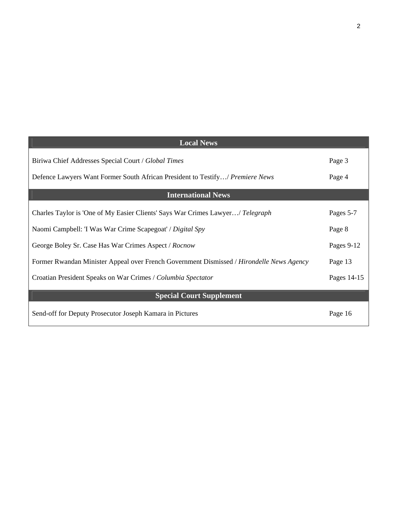| <b>Local News</b>                                                                        |             |
|------------------------------------------------------------------------------------------|-------------|
| Biriwa Chief Addresses Special Court / Global Times                                      | Page 3      |
| Defence Lawyers Want Former South African President to Testify/ Premiere News            | Page 4      |
| <b>International News</b>                                                                |             |
| Charles Taylor is 'One of My Easier Clients' Says War Crimes Lawyer/ Telegraph           | Pages 5-7   |
| Naomi Campbell: 'I Was War Crime Scapegoat' / Digital Spy                                | Page 8      |
| George Boley Sr. Case Has War Crimes Aspect / Rocnow                                     | Pages 9-12  |
| Former Rwandan Minister Appeal over French Government Dismissed / Hirondelle News Agency | Page 13     |
| Croatian President Speaks on War Crimes / Columbia Spectator                             | Pages 14-15 |
| <b>Special Court Supplement</b>                                                          |             |
| Send-off for Deputy Prosecutor Joseph Kamara in Pictures                                 | Page 16     |

2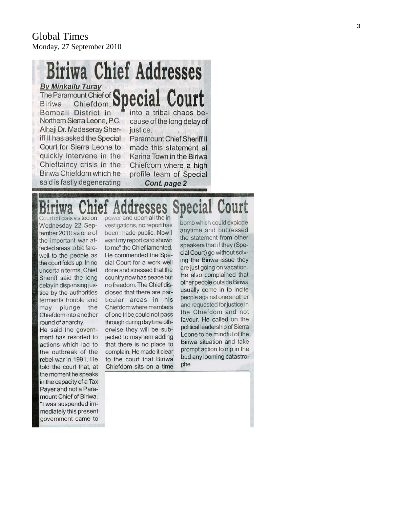## **Biriwa Chief Addresses** By Minkailu Turay The Paramount Chiefdom, Special Court Bombali District in into a tribal chaos be-Northern Sierra Leone, P.C. cause of the long delay of

Alhaji Dr. Madeseray Sheriff II has asked the Special Court for Sierra Leone to quickly intervene in the Chieftaincy crisis in the Biriwa Chiefdom which he said is fastly degenerating

justice.

Paramount Chief Sheriff II made this statement at Karina Town in the Biriwa Chiefdom where a high profile team of Special Cont. page 2

# pecial Court resses

Court officials visited on Wednesday 22 September 2010 as one of the important war affected areas to bid farewell to the people as the court folds up. In no uncertain terms, Chief Sheriff said the long delay in dispensing justice by the authorities ferments trouble and may plunge the Chiefdom into another round of anarchy. He said the government has resorted to actions which lad to the outbreak of the

rebel war in 1991. He told the court that, at the moment he speaks in the capacity of a Tax Payer and not a Paramount Chief of Biriwa. "I was suspended immediately this present government came to

power and upon all the investigations, no report has been made public. Now I want my report card shown to me" the Chief lamented. He commended the Special Court for a work well done and stressed that the country now has peace but no freedom. The Chief disclosed that there are particular areas in his Chiefdom where members of one tribe could not pass through during day time otherwise they will be subjected to mayhem adding that there is no place to complain. He made it clear to the court that Biriwa Chiefdom sits on a time

bomb which could explode anytime and buttressed the statement from other speakers that if they (Special Court) go without solving the Biriwa issue they are just going on vacation. He also complained that other people outside Biriwa usually come in to incite people against one another and requested for justice in the Chiefdom and not favour. He called on the political leadership of Sierra Leone to be mindful of the Biriwa situation and take prompt action to nip in the bud any looming catastrophe.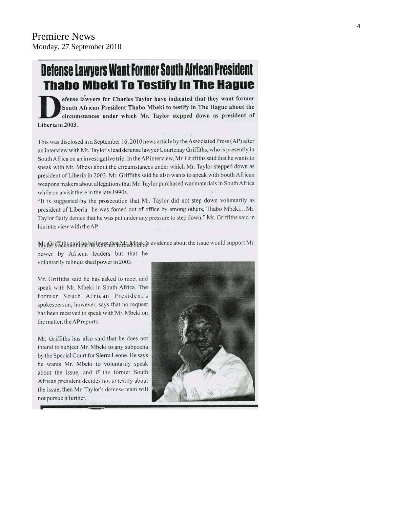# Defense Lawyers Want Former South African President **Thabo Mbeki To Testify In The Hague**

efense lawyers for Charles Taylor have indicated that they want former South African President Thabo Mbeki to testify in The Hague about the circumstances under which Mr. Taylor stepped down as president of Liberia in 2003.

This was disclosed in a September 16, 2010 news article by the Associated Press (AP) after an interview with Mr. Taylor's lead defense lawyer Courtenay Griffiths, who is presently in South Africa on an investigative trip. In the AP interview, Mr. Griffiths said that he wants to speak with Mr. Mbeki about the circumstances under which Mr. Taylor stepped down as president of Liberia in 2003. Mr. Griffiths said he also wants to speak with South African weapons makers about allegations that Mr. Taylor purchased war materials in South Africa while on a visit there in the late 1990s.

"It is suggested by the prosecution that Mr. Taylor did not step down voluntarily as president of Liberia he was forced out of office by among others, Thabo Mbeki...Mr. Taylor flatly denies that he was put under any pressure to step down," Mr. Griffiths said in his interview with the AP.

My IG "if hitle said that he is use sthat Me Mbaki's evidence about the issue would support Mr.

power by African leaders but that he voluntarily relinquished power in 2003.

Mr. Griffiths said he has asked to meet and speak with Mr. Mbeki in South Africa. The former South African President's spokesperson, however, says that no request has been received to speak with Mr. Mbeki on the matter, the AP reports.

Mr. Griffiths has also said that he does not intend to subject Mr. Mbeki to any subpoena by the Special Court for Sierra Leone. He says he wants Mr. Mbeki to voluntarily speak about the issue, and if the former South African president decides not to testify about the issue, then Mr. Taylor's defense team will not pursue it further.

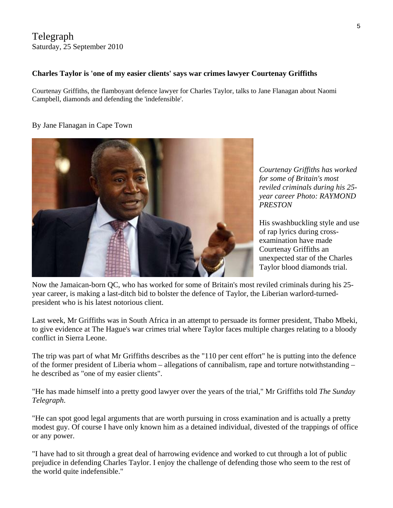## Telegraph Saturday, 25 September 2010

#### **Charles Taylor is 'one of my easier clients' says war crimes lawyer Courtenay Griffiths**

Courtenay Griffiths, the flamboyant defence lawyer for Charles Taylor, talks to Jane Flanagan about Naomi Campbell, diamonds and defending the 'indefensible'.

#### By Jane Flanagan in Cape Town



*Courtenay Griffiths has worked for some of Britain's most reviled criminals during his 25 year career Photo: RAYMOND PRESTON* 

His swashbuckling style and use of rap lyrics during crossexamination have made Courtenay Griffiths an unexpected star of the Charles Taylor blood diamonds trial.

Now the Jamaican-born QC, who has worked for some of Britain's most reviled criminals during his 25 year career, is making a last-ditch bid to bolster the defence of Taylor, the Liberian warlord-turnedpresident who is his latest notorious client.

Last week, Mr Griffiths was in South Africa in an attempt to persuade its former president, Thabo Mbeki, to give evidence at The Hague's war crimes trial where Taylor faces multiple charges relating to a bloody conflict in Sierra Leone.

The trip was part of what Mr Griffiths describes as the "110 per cent effort" he is putting into the defence of the former president of Liberia whom – allegations of cannibalism, rape and torture notwithstanding – he described as "one of my easier clients".

"He has made himself into a pretty good lawyer over the years of the trial," Mr Griffiths told *The Sunday Telegraph*.

"He can spot good legal arguments that are worth pursuing in cross examination and is actually a pretty modest guy. Of course I have only known him as a detained individual, divested of the trappings of office or any power.

"I have had to sit through a great deal of harrowing evidence and worked to cut through a lot of public prejudice in defending Charles Taylor. I enjoy the challenge of defending those who seem to the rest of the world quite indefensible."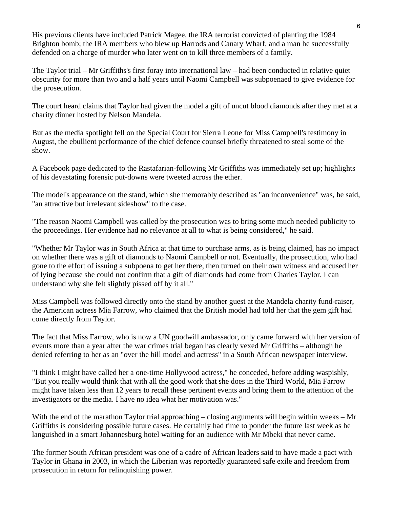His previous clients have included Patrick Magee, the IRA terrorist convicted of planting the 1984 Brighton bomb; the IRA members who blew up Harrods and Canary Wharf, and a man he successfully defended on a charge of murder who later went on to kill three members of a family.

The Taylor trial – Mr Griffiths's first foray into international law – had been conducted in relative quiet obscurity for more than two and a half years until [Naomi Campbell](http://www.telegraph.co.uk/news/newstopics/celebritynews/7927867/Naomi-Campbell-profile.html) was subpoenaed to give evidence for the prosecution.

The court heard claims that [Taylor had given the model a gift of uncut blood diamonds after they met at a](http://www.telegraph.co.uk/news/worldnews/africaandindianocean/liberia/7896581/Naomi-Campbell-and-blood-diamond-the-whole-picture.html)  [charity dinner hosted by Nelson Mandela](http://www.telegraph.co.uk/news/worldnews/africaandindianocean/liberia/7896581/Naomi-Campbell-and-blood-diamond-the-whole-picture.html).

But as the media spotlight fell on the Special Court for Sierra Leone for Miss Campbell's testimony in August, the ebullient performance of the chief defence counsel briefly threatened to steal some of the show.

A Facebook page dedicated to the Rastafarian-following Mr Griffiths was immediately set up; highlights of his devastating forensic put-downs were tweeted across the ether.

[The model's appearance on the stand, which she memorably described as "an inconvenience" was, he said,](http://www.telegraph.co.uk/news/worldnews/africaandindianocean/liberia/7928122/Naomi-Campbell-testimony-a-spectacular-own-goal-says-Charles-Taylor-defence.html)  ["an attractive but irrelevant sideshow"](http://www.telegraph.co.uk/news/worldnews/africaandindianocean/liberia/7928122/Naomi-Campbell-testimony-a-spectacular-own-goal-says-Charles-Taylor-defence.html) to the case.

"The reason Naomi Campbell was called by the prosecution was to bring some much needed publicity to the proceedings. Her evidence had no relevance at all to what is being considered," he said.

"Whether Mr Taylor was in South Africa at that time to purchase arms, as is being claimed, has no impact on whether there was a gift of diamonds to Naomi Campbell or not. Eventually, the prosecution, who had gone to the effort of issuing a subpoena to get her there, then turned on their own witness and accused her of lying because she could not confirm that a gift of diamonds had come from Charles Taylor. I can understand why she felt slightly pissed off by it all."

Miss Campbell was followed directly onto the stand by another guest at the Mandela charity fund-raiser, the American actress Mia Farrow, who claimed that the British model had told her that the gem gift had come directly from Taylor.

The fact that Miss Farrow, who is now a UN goodwill ambassador, only came forward with her version of events more than a year after the war crimes trial began has clearly vexed Mr Griffiths – although he denied referring to her as an "over the hill model and actress" in a South African newspaper interview.

"I think I might have called her a one-time Hollywood actress," he conceded, before adding waspishly, "But you really would think that with all the good work that she does in the Third World, Mia Farrow might have taken less than 12 years to recall these pertinent events and bring them to the attention of the investigators or the media. I have no idea what her motivation was."

With the end of [the marathon Taylor trial](http://www.telegraph.co.uk/news/worldnews/africaandindianocean/sierraleone/5833375/Charles-Taylor-displays-icy-charm-at-war-crime-hearing.html) approaching – closing arguments will begin within weeks – Mr Griffiths is considering possible future cases. He certainly had time to ponder the future last week as he languished in a smart Johannesburg hotel waiting for an audience with Mr Mbeki that never came.

The former South African president was one of a cadre of African leaders said to have made a pact with Taylor in Ghana in 2003, in which the Liberian was reportedly guaranteed safe exile and freedom from prosecution in return for relinquishing power.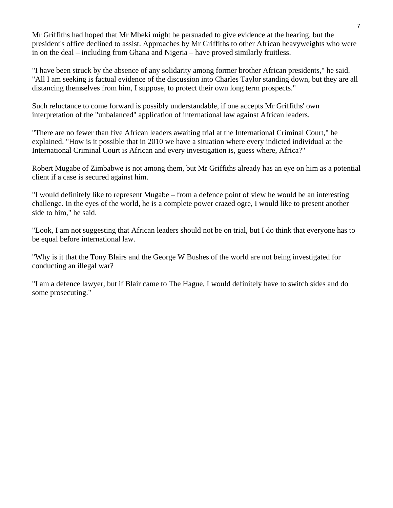Mr Griffiths had hoped that Mr Mbeki might be persuaded to give evidence at the hearing, but the president's office declined to assist. Approaches by Mr Griffiths to other African heavyweights who were in on the deal – including from Ghana and Nigeria – have proved similarly fruitless.

"I have been struck by the absence of any solidarity among former brother African presidents," he said. "All I am seeking is factual evidence of the discussion into Charles Taylor standing down, but they are all distancing themselves from him, I suppose, to protect their own long term prospects."

Such reluctance to come forward is possibly understandable, if one accepts Mr Griffiths' own interpretation of the "unbalanced" application of international law against African leaders.

"There are no fewer than five African leaders awaiting trial at the International Criminal Court," he explained. "How is it possible that in 2010 we have a situation where every indicted individual at the International Criminal Court is African and every investigation is, guess where, Africa?"

Robert Mugabe of Zimbabwe is not among them, but Mr Griffiths already has an eye on him as a potential client if a case is secured against him.

"I would definitely like to represent Mugabe – from a defence point of view he would be an interesting challenge. In the eyes of the world, he is a complete power crazed ogre, I would like to present another side to him," he said.

"Look, I am not suggesting that African leaders should not be on trial, but I do think that everyone has to be equal before international law.

"Why is it that the Tony Blairs and the George W Bushes of the world are not being investigated for conducting an illegal war?

"I am a defence lawyer, but if Blair came to The Hague, I would definitely have to switch sides and do some prosecuting."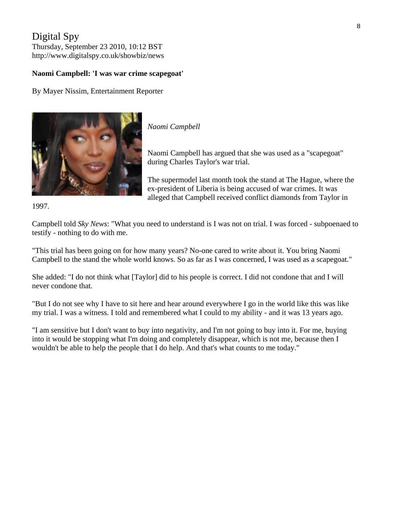# Digital Spy

Thursday, September 23 2010, 10:12 BST http://www.digitalspy.co.uk/showbiz/news

#### **Naomi Campbell: 'I was war crime scapegoat'**

By [Mayer Nissim](http://www.digitalspy.co.uk/showbiz/news/a278353/naomi-campbell-i-was-war-crime-scapegoat.html), Entertainment Reporter



*[Naomi Campbell](http://www.digitalspy.co.uk/celebrities/naomi-campbell/)* 

Naomi Campbell has argued that she was used as a "scapegoat" during Charles Taylor's war trial.

The supermodel last month [took the stand](http://www.digitalspy.co.uk/showbiz/news/a255825/naomi-campbell-testifies-at-war-crimes-trial.html) at The Hague, where the ex-president of Liberia is being accused of war crimes. It was alleged that Campbell received conflict diamonds from Taylor in

1997.

Campbell told *Sky News*: "What you need to understand is I was not on trial. I was forced - subpoenaed [to](http://www.digitalspy.co.uk/showbiz/news/a259842/naomi-campbell-denies-court-accusations.html)  [testify](http://www.digitalspy.co.uk/showbiz/news/a259842/naomi-campbell-denies-court-accusations.html) - nothing to do with me.

"This trial has been going on for how many years? No-one cared to write about it. You bring Naomi Campbell to the stand the whole world knows. So as far as I was concerned, I was used as a scapegoat."

She added: "I do not think what [Taylor] did to his people is correct. I did not condone that and I will never condone that.

"But I do not see why I have to sit here and hear around everywhere I go in the world like this was like my trial. I was a witness. I told and remembered what I could to my ability - and it was 13 years ago.

"I am sensitive but I don't want to buy into negativity, and I'm not going to buy into it. For me, buying into it would be stopping what I'm doing and completely disappear, which is not me, because then I wouldn't be able to help the people that I do help. And that's what counts to me today."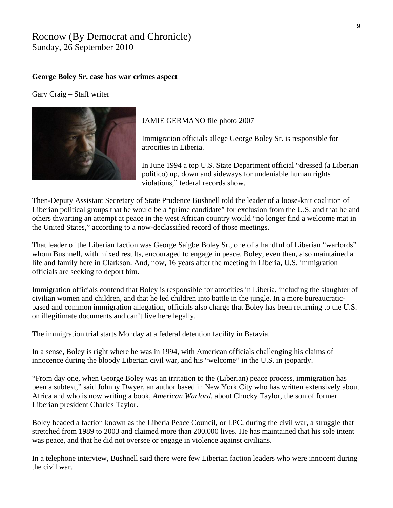## Rocnow (By Democrat and Chronicle) Sunday, 26 September 2010

#### **George Boley Sr. case has war crimes aspect**

Gary Craig – Staff writer



JAMIE GERMANO file photo 2007

Immigration officials allege George Boley Sr. is responsible for atrocities in Liberia.

In June 1994 a top U.S. State Department official "dressed (a Liberian politico) up, down and sideways for undeniable human rights violations," federal records show.

Then-Deputy Assistant Secretary of State Prudence Bushnell told the leader of a loose-knit coalition of Liberian political groups that he would be a "prime candidate" for exclusion from the U.S. and that he and others thwarting an attempt at peace in the west African country would "no longer find a welcome mat in the United States," according to a now-declassified record of those meetings.

That leader of the Liberian faction was George Saigbe Boley Sr., one of a handful of Liberian "warlords" whom Bushnell, with mixed results, encouraged to engage in peace. Boley, even then, also maintained a life and family here in Clarkson. And, now, 16 years after the meeting in Liberia, U.S. immigration officials are seeking to deport him.

Immigration officials contend that Boley is responsible for atrocities in Liberia, including the slaughter of civilian women and children, and that he led children into battle in the jungle. In a more bureaucraticbased and common immigration allegation, officials also charge that Boley has been returning to the U.S. on illegitimate documents and can't live here legally.

The immigration trial starts Monday at a federal detention facility in Batavia.

In a sense, Boley is right where he was in 1994, with American officials challenging his claims of innocence during the bloody Liberian civil war, and his "welcome" in the U.S. in jeopardy.

"From day one, when George Boley was an irritation to the (Liberian) peace process, immigration has been a subtext," said Johnny Dwyer, an author based in New York City who has written extensively about Africa and who is now writing a book, *American Warlord*, about Chucky Taylor, the son of former Liberian president Charles Taylor.

Boley headed a faction known as the Liberia Peace Council, or LPC, during the civil war, a struggle that stretched from 1989 to 2003 and claimed more than 200,000 lives. He has maintained that his sole intent was peace, and that he did not oversee or engage in violence against civilians.

In a telephone interview, Bushnell said there were few Liberian faction leaders who were innocent during the civil war.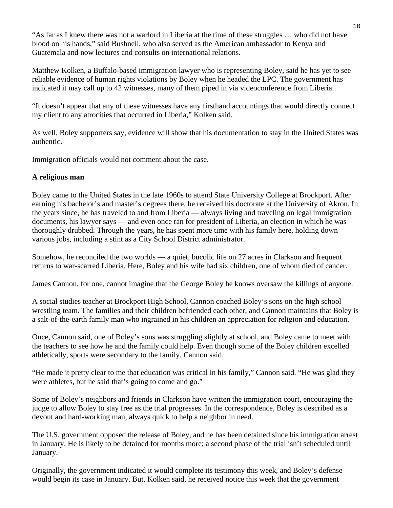"As far as I knew there was not a warlord in Liberia at the time of these struggles … who did not have blood on his hands," said Bushnell, who also served as the American ambassador to Kenya and Guatemala and now lectures and consults on international relations.

Matthew Kolken, a Buffalo-based immigration lawyer who is representing Boley, said he has yet to see reliable evidence of human rights violations by Boley when he headed the LPC. The government has indicated it may call up to 42 witnesses, many of them piped in via videoconference from Liberia.

"It doesn't appear that any of these witnesses have any firsthand accountings that would directly connect my client to any atrocities that occurred in Liberia," Kolken said.

As well, Boley supporters say, evidence will show that his documentation to stay in the United States was authentic.

Immigration officials would not comment about the case.

#### **A religious man**

Boley came to the United States in the late 1960s to attend State University College at Brockport. After earning his bachelor's and master's degrees there, he received his doctorate at the University of Akron. In the years since, he has traveled to and from Liberia — always living and traveling on legal immigration documents, his lawyer says — and even once ran for president of Liberia, an election in which he was thoroughly drubbed. Through the years, he has spent more time with his family here, holding down various jobs, including a stint as a City School District administrator.

Somehow, he reconciled the two worlds — a quiet, bucolic life on 27 acres in Clarkson and frequent returns to war-scarred Liberia. Here, Boley and his wife had six children, one of whom died of cancer.

James Cannon, for one, cannot imagine that the George Boley he knows oversaw the killings of anyone.

A social studies teacher at Brockport High School, Cannon coached Boley's sons on the high school wrestling team. The families and their children befriended each other, and Cannon maintains that Boley is a salt-of-the-earth family man who ingrained in his children an appreciation for religion and education.

Once, Cannon said, one of Boley's sons was struggling slightly at school, and Boley came to meet with the teachers to see how he and the family could help. Even though some of the Boley children excelled athletically, sports were secondary to the family, Cannon said.

"He made it pretty clear to me that education was critical in his family," Cannon said. "He was glad they were athletes, but he said that's going to come and go."

Some of Boley's neighbors and friends in Clarkson have written the immigration court, encouraging the judge to allow Boley to stay free as the trial progresses. In the correspondence, Boley is described as a devout and hard-working man, always quick to help a neighbor in need.

The U.S. government opposed the release of Boley, and he has been detained since his immigration arrest in January. He is likely to be detained for months more; a second phase of the trial isn't scheduled until January.

Originally, the government indicated it would complete its testimony this week, and Boley's defense would begin its case in January. But, Kolken said, he received notice this week that the government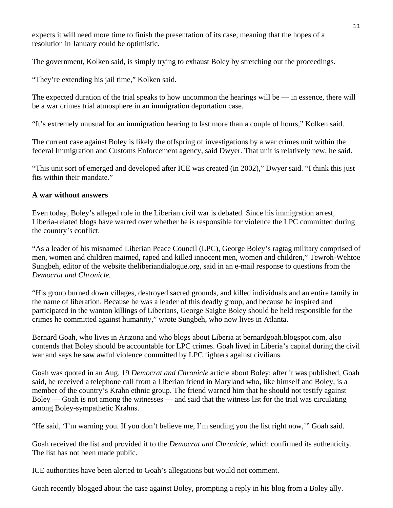expects it will need more time to finish the presentation of its case, meaning that the hopes of a resolution in January could be optimistic.

The government, Kolken said, is simply trying to exhaust Boley by stretching out the proceedings.

"They're extending his jail time," Kolken said.

The expected duration of the trial speaks to how uncommon the hearings will be  $-$  in essence, there will be a war crimes trial atmosphere in an immigration deportation case.

"It's extremely unusual for an immigration hearing to last more than a couple of hours," Kolken said.

The current case against Boley is likely the offspring of investigations by a war crimes unit within the federal Immigration and Customs Enforcement agency, said Dwyer. That unit is relatively new, he said.

"This unit sort of emerged and developed after ICE was created (in 2002)," Dwyer said. "I think this just fits within their mandate."

#### **A war without answers**

Even today, Boley's alleged role in the Liberian civil war is debated. Since his immigration arrest, Liberia-related blogs have warred over whether he is responsible for violence the LPC committed during the country's conflict.

"As a leader of his misnamed Liberian Peace Council (LPC), George Boley's ragtag military comprised of men, women and children maimed, raped and killed innocent men, women and children," Tewroh-Wehtoe Sungbeh, editor of the website theliberiandialogue.org, said in an e-mail response to questions from the *Democrat and Chronicle.* 

"His group burned down villages, destroyed sacred grounds, and killed individuals and an entire family in the name of liberation. Because he was a leader of this deadly group, and because he inspired and participated in the wanton killings of Liberians, George Saigbe Boley should be held responsible for the crimes he committed against humanity," wrote Sungbeh, who now lives in Atlanta.

Bernard Goah, who lives in Arizona and who blogs about Liberia at bernardgoah.blogspot.com, also contends that Boley should be accountable for LPC crimes. Goah lived in Liberia's capital during the civil war and says he saw awful violence committed by LPC fighters against civilians.

Goah was quoted in an Aug. 19 *Democrat and Chronicle* article about Boley; after it was published, Goah said, he received a telephone call from a Liberian friend in Maryland who, like himself and Boley, is a member of the country's Krahn ethnic group. The friend warned him that he should not testify against Boley — Goah is not among the witnesses — and said that the witness list for the trial was circulating among Boley-sympathetic Krahns.

"He said, 'I'm warning you. If you don't believe me, I'm sending you the list right now,'" Goah said.

Goah received the list and provided it to the *Democrat and Chronicle*, which confirmed its authenticity. The list has not been made public.

ICE authorities have been alerted to Goah's allegations but would not comment.

Goah recently blogged about the case against Boley, prompting a reply in his blog from a Boley ally.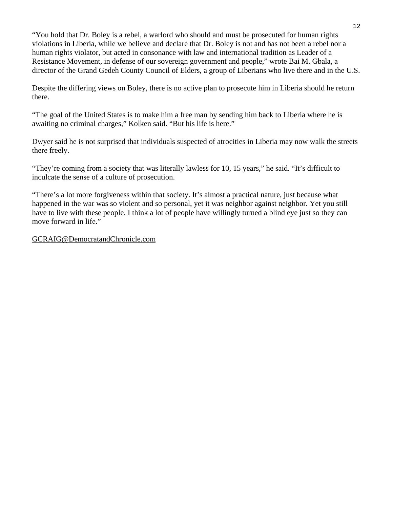"You hold that Dr. Boley is a rebel, a warlord who should and must be prosecuted for human rights violations in Liberia, while we believe and declare that Dr. Boley is not and has not been a rebel nor a human rights violator, but acted in consonance with law and international tradition as Leader of a Resistance Movement, in defense of our sovereign government and people," wrote Bai M. Gbala, a director of the Grand Gedeh County Council of Elders, a group of Liberians who live there and in the U.S.

Despite the differing views on Boley, there is no active plan to prosecute him in Liberia should he return there.

"The goal of the United States is to make him a free man by sending him back to Liberia where he is awaiting no criminal charges," Kolken said. "But his life is here."

Dwyer said he is not surprised that individuals suspected of atrocities in Liberia may now walk the streets there freely.

"They're coming from a society that was literally lawless for 10, 15 years," he said. "It's difficult to inculcate the sense of a culture of prosecution.

"There's a lot more forgiveness within that society. It's almost a practical nature, just because what happened in the war was so violent and so personal, yet it was neighbor against neighbor. Yet you still have to live with these people. I think a lot of people have willingly turned a blind eye just so they can move forward in life."

[GCRAIG@DemocratandChronicle.com](mailto:GCRAIG@DemocratandChronicle.com)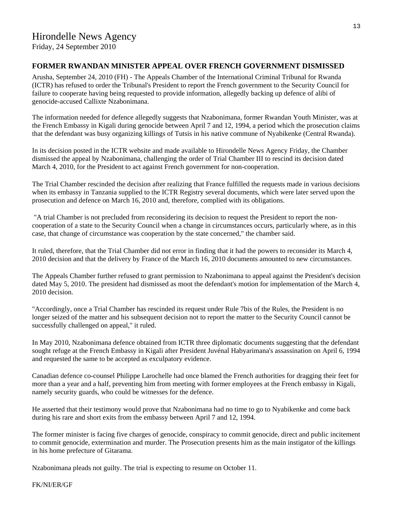Friday, 24 September 2010

#### **FORMER RWANDAN MINISTER APPEAL OVER FRENCH GOVERNMENT DISMISSED**

Arusha, September 24, 2010 (FH) - The Appeals Chamber of the International Criminal Tribunal for Rwanda (ICTR) has refused to order the Tribunal's President to report the French government to the Security Council for failure to cooperate having being requested to provide information, allegedly backing up defence of alibi of genocide-accused Callixte Nzabonimana.

The information needed for defence allegedly suggests that Nzabonimana, former Rwandan Youth Minister, was at the French Embassy in Kigali during genocide between April 7 and 12, 1994, a period which the prosecution claims that the defendant was busy organizing killings of Tutsis in his native commune of Nyabikenke (Central Rwanda).

In its decision posted in the ICTR website and made available to Hirondelle News Agency Friday, the Chamber dismissed the appeal by Nzabonimana, challenging the order of Trial Chamber III to rescind its decision dated March 4, 2010, for the President to act against French government for non-cooperation.

The Trial Chamber rescinded the decision after realizing that France fulfilled the requests made in various decisions when its embassy in Tanzania supplied to the ICTR Registry several documents, which were later served upon the prosecution and defence on March 16, 2010 and, therefore, complied with its obligations.

 "A trial Chamber is not precluded from reconsidering its decision to request the President to report the noncooperation of a state to the Security Council when a change in circumstances occurs, particularly where, as in this case, that change of circumstance was cooperation by the state concerned," the chamber said.

It ruled, therefore, that the Trial Chamber did not error in finding that it had the powers to reconsider its March 4, 2010 decision and that the delivery by France of the March 16, 2010 documents amounted to new circumstances.

The Appeals Chamber further refused to grant permission to Nzabonimana to appeal against the President's decision dated May 5, 2010. The president had dismissed as moot the defendant's motion for implementation of the March 4, 2010 decision.

"Accordingly, once a Trial Chamber has rescinded its request under Rule 7bis of the Rules, the President is no longer seized of the matter and his subsequent decision not to report the matter to the Security Council cannot be successfully challenged on appeal," it ruled.

In May 2010, Nzabonimana defence obtained from ICTR three diplomatic documents suggesting that the defendant sought refuge at the French Embassy in Kigali after President Juvénal Habyarimana's assassination on April 6, 1994 and requested the same to be accepted as exculpatory evidence.

Canadian defence co-counsel Philippe Larochelle had once blamed the French authorities for dragging their feet for more than a year and a half, preventing him from meeting with former employees at the French embassy in Kigali, namely security guards, who could be witnesses for the defence.

He asserted that their testimony would prove that Nzabonimana had no time to go to Nyabikenke and come back during his rare and short exits from the embassy between April 7 and 12, 1994.

The former minister is facing five charges of genocide, conspiracy to commit genocide, direct and public incitement to commit genocide, extermination and murder. The Prosecution presents him as the main instigator of the killings in his home prefecture of Gitarama.

Nzabonimana pleads not guilty. The trial is expecting to resume on October 11.

FK/NI/ER/GF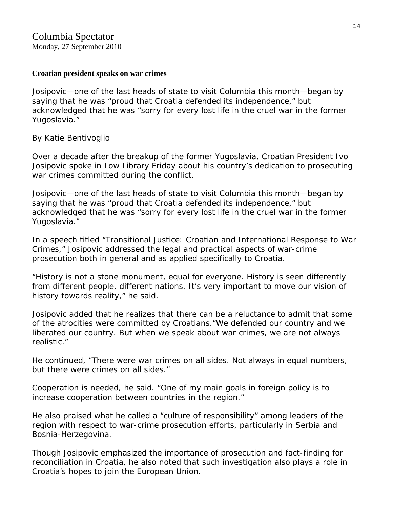#### **Croatian president speaks on war crimes**

Josipovic—one of the last heads of state to visit Columbia this month—began by saying that he was "proud that Croatia defended its independence," but acknowledged that he was "sorry for every lost life in the cruel war in the former Yugoslavia."

### By [Katie Bentivoglio](http://www.columbiaspectator.com/contributors/katie-bentivoglio)

Over a decade after the breakup of the former Yugoslavia, Croatian President Ivo Josipovic spoke in Low Library Friday about his country's dedication to prosecuting war crimes committed during the conflict.

Josipovic—one of the last heads of state to visit Columbia this month—began by saying that he was "proud that Croatia defended its independence," but acknowledged that he was "sorry for every lost life in the cruel war in the former Yugoslavia."

In a speech titled "Transitional Justice: Croatian and International Response to War Crimes," Josipovic addressed the legal and practical aspects of war-crime prosecution both in general and as applied specifically to Croatia.

"History is not a stone monument, equal for everyone. History is seen differently from different people, different nations. It's very important to move our vision of history towards reality," he said.

Josipovic added that he realizes that there can be a reluctance to admit that some of the atrocities were committed by Croatians."We defended our country and we liberated our country. But when we speak about war crimes, we are not always realistic."

He continued, "There were war crimes on all sides. Not always in equal numbers, but there were crimes on all sides."

Cooperation is needed, he said. "One of my main goals in foreign policy is to increase cooperation between countries in the region."

He also praised what he called a "culture of responsibility" among leaders of the region with respect to war-crime prosecution efforts, particularly in Serbia and Bosnia-Herzegovina.

Though Josipovic emphasized the importance of prosecution and fact-finding for reconciliation in Croatia, he also noted that such investigation also plays a role in Croatia's hopes to join the European Union.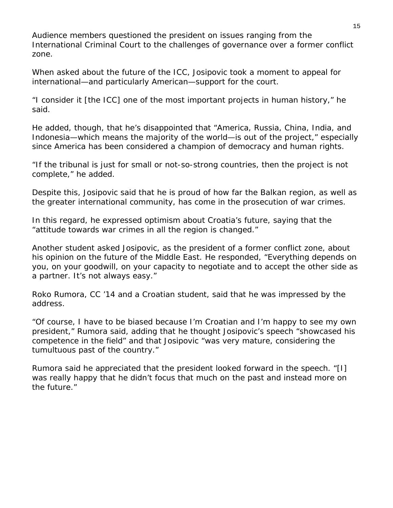Audience members questioned the president on issues ranging from the International Criminal Court to the challenges of governance over a former conflict zone.

When asked about the future of the ICC, Josipovic took a moment to appeal for international—and particularly American—support for the court.

"I consider it [the ICC] one of the most important projects in human history," he said.

He added, though, that he's disappointed that "America, Russia, China, India, and Indonesia—which means the majority of the world—is out of the project," especially since America has been considered a champion of democracy and human rights.

"If the tribunal is just for small or not-so-strong countries, then the project is not complete," he added.

Despite this, Josipovic said that he is proud of how far the Balkan region, as well as the greater international community, has come in the prosecution of war crimes.

In this regard, he expressed optimism about Croatia's future, saying that the "attitude towards war crimes in all the region is changed."

Another student asked Josipovic, as the president of a former conflict zone, about his opinion on the future of the Middle East. He responded, "Everything depends on you, on your goodwill, on your capacity to negotiate and to accept the other side as a partner. It's not always easy."

Roko Rumora, CC '14 and a Croatian student, said that he was impressed by the address.

"Of course, I have to be biased because I'm Croatian and I'm happy to see my own president," Rumora said, adding that he thought Josipovic's speech "showcased his competence in the field" and that Josipovic "was very mature, considering the tumultuous past of the country."

Rumora said he appreciated that the president looked forward in the speech. "[I] was really happy that he didn't focus that much on the past and instead more on the future."